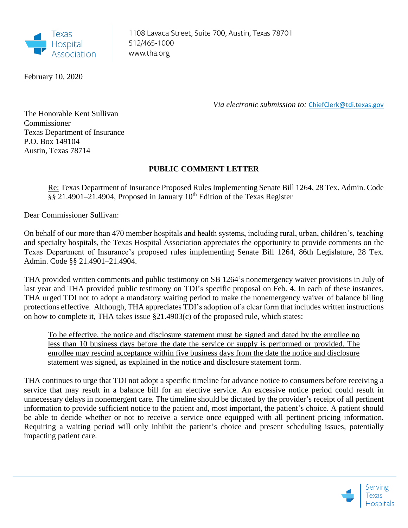

1108 Lavaca Street, Suite 700, Austin, Texas 78701 512/465-1000 www.tha.org

February 10, 2020

*Via electronic submission to:* [ChiefClerk@tdi.texas.gov](mailto:ChiefClerk@tdi.texas.gov)

The Honorable Kent Sullivan Commissioner Texas Department of Insurance P.O. Box 149104 Austin, Texas 78714

## **PUBLIC COMMENT LETTER**

Re: Texas Department of Insurance Proposed Rules Implementing Senate Bill 1264, 28 Tex. Admin. Code  $\S$ § 21.4901–21.4904, Proposed in January 10<sup>th</sup> Edition of the Texas Register

Dear Commissioner Sullivan:

On behalf of our more than 470 member hospitals and health systems, including rural, urban, children's, teaching and specialty hospitals, the Texas Hospital Association appreciates the opportunity to provide comments on the Texas Department of Insurance's proposed rules implementing Senate Bill 1264, 86th Legislature, 28 Tex. Admin. Code §§ 21.4901–21.4904.

THA provided written comments and public testimony on SB 1264's nonemergency waiver provisions in July of last year and THA provided public testimony on TDI's specific proposal on Feb. 4. In each of these instances, THA urged TDI not to adopt a mandatory waiting period to make the nonemergency waiver of balance billing protections effective. Although, THA appreciates TDI's adoption of a clear form that includes written instructions on how to complete it, THA takes issue §21.4903(c) of the proposed rule, which states:

To be effective, the notice and disclosure statement must be signed and dated by the enrollee no less than 10 business days before the date the service or supply is performed or provided. The enrollee may rescind acceptance within five business days from the date the notice and disclosure statement was signed, as explained in the notice and disclosure statement form.

THA continues to urge that TDI not adopt a specific timeline for advance notice to consumers before receiving a service that may result in a balance bill for an elective service. An excessive notice period could result in unnecessary delays in nonemergent care. The timeline should be dictated by the provider's receipt of all pertinent information to provide sufficient notice to the patient and, most important, the patient's choice. A patient should be able to decide whether or not to receive a service once equipped with all pertinent pricing information. Requiring a waiting period will only inhibit the patient's choice and present scheduling issues, potentially impacting patient care.